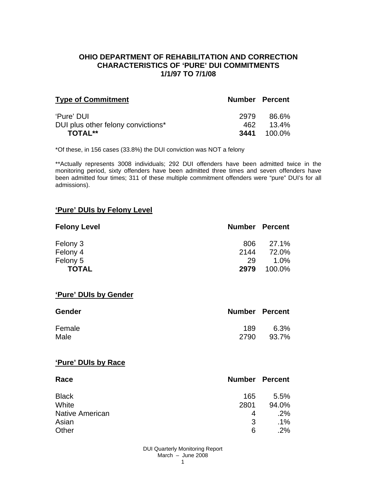### **OHIO DEPARTMENT OF REHABILITATION AND CORRECTION CHARACTERISTICS OF 'PURE' DUI COMMITMENTS 1/1/97 TO 7/1/08**

| <b>Type of Commitment</b>          | <b>Number Percent</b> |                    |
|------------------------------------|-----------------------|--------------------|
| 'Pure' DUI                         | 2979                  | 86.6%              |
| DUI plus other felony convictions* | 462.                  | $13.4\%$           |
| <b>TOTAL**</b>                     |                       | <b>3441</b> 100.0% |

\*Of these, in 156 cases (33.8%) the DUI conviction was NOT a felony

\*\*Actually represents 3008 individuals; 292 DUI offenders have been admitted twice in the monitoring period, sixty offenders have been admitted three times and seven offenders have been admitted four times; 311 of these multiple commitment offenders were "pure" DUI's for all admissions).

#### **'Pure' DUIs by Felony Level**

| <b>Felony Level</b> | <b>Number Percent</b> |         |
|---------------------|-----------------------|---------|
| Felony 3            | 806                   | 27.1%   |
| Felony 4            | 2144                  | 72.0%   |
| Felony 5            | 29                    | $1.0\%$ |
| <b>TOTAL</b>        | 2979                  | 100.0%  |

#### **'Pure' DUIs by Gender**

| <b>Gender</b> | <b>Number Percent</b> |       |
|---------------|-----------------------|-------|
| Female        | 189                   | 6.3%  |
| Male          | 2790                  | 93.7% |

#### **'Pure' DUIs by Race**

| Race                   | <b>Number Percent</b> |        |
|------------------------|-----------------------|--------|
| <b>Black</b>           | 165                   | 5.5%   |
| White                  | 2801                  | 94.0%  |
| <b>Native American</b> | 4                     | .2%    |
| Asian                  | 3                     | $.1\%$ |
| Other                  | 6                     | .2%    |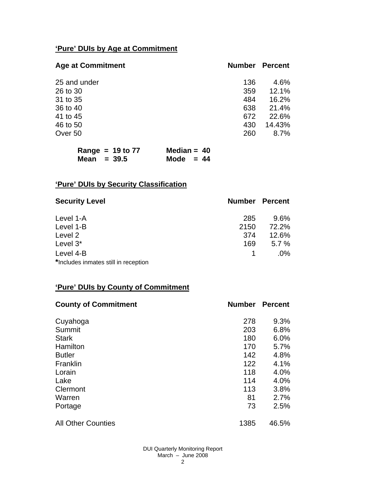# **'Pure' DUIs by Age at Commitment**

| <b>Age at Commitment</b> | <b>Number</b> | <b>Percent</b> |
|--------------------------|---------------|----------------|
| 25 and under             | 136           | 4.6%           |
| 26 to 30                 | 359           | 12.1%          |
| 31 to 35                 | 484           | 16.2%          |
| 36 to 40                 | 638           | 21.4%          |
| 41 to 45                 | 672           | 22.6%          |
| 46 to 50                 | 430           | 14.43%         |
| Over 50                  | 260           | 8.7%           |

| Range = $19$ to $77$ |  | Median = $40$ |  |
|----------------------|--|---------------|--|
| Mean $=$ 39.5        |  | Mode $= 44$   |  |

# **'Pure' DUIs by Security Classification**

| <b>Security Level</b>                | <b>Number Percent</b> |        |
|--------------------------------------|-----------------------|--------|
| Level 1-A                            | 285                   | 9.6%   |
| Level 1-B                            | 2150                  | 72.2%  |
| Level 2                              | 374                   | 12.6%  |
| Level 3*                             | 169                   | 5.7%   |
| Level 4-B                            |                       | $.0\%$ |
| *Includes inmates still in reception |                       |        |

## **'Pure' DUIs by County of Commitment**

| <b>County of Commitment</b> | <b>Number</b> | <b>Percent</b> |
|-----------------------------|---------------|----------------|
| Cuyahoga                    | 278           | 9.3%           |
| Summit                      | 203           | 6.8%           |
| <b>Stark</b>                | 180           | 6.0%           |
| Hamilton                    | 170           | 5.7%           |
| <b>Butler</b>               | 142           | 4.8%           |
| Franklin                    | 122           | 4.1%           |
| Lorain                      | 118           | 4.0%           |
| Lake                        | 114           | 4.0%           |
| Clermont                    | 113           | 3.8%           |
| Warren                      | 81            | 2.7%           |
| Portage                     | 73            | 2.5%           |
| <b>All Other Counties</b>   | 1385          | 46.5%          |

DUI Quarterly Monitoring Report March – June 2008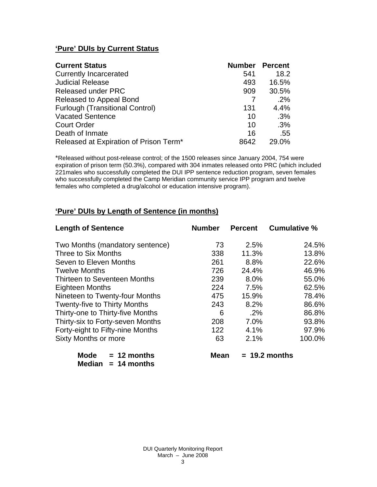# **'Pure' DUIs by Current Status**

| <b>Current Status</b>                  | <b>Number Percent</b> |       |
|----------------------------------------|-----------------------|-------|
| <b>Currently Incarcerated</b>          | 541                   | 18.2  |
| <b>Judicial Release</b>                | 493                   | 16.5% |
| <b>Released under PRC</b>              | 909                   | 30.5% |
| Released to Appeal Bond                |                       | .2%   |
| <b>Furlough (Transitional Control)</b> | 131                   | 4.4%  |
| <b>Vacated Sentence</b>                | 10                    | .3%   |
| <b>Court Order</b>                     | 10                    | .3%   |
| Death of Inmate                        | 16                    | .55   |
| Released at Expiration of Prison Term* | 8642                  | 29.0% |

\*Released without post-release control; of the 1500 releases since January 2004, 754 were expiration of prison term (50.3%), compared with 304 inmates released onto PRC (which included 221males who successfully completed the DUI IPP sentence reduction program, seven females who successfully completed the Camp Meridian community service IPP program and twelve females who completed a drug/alcohol or education intensive program).

# **'Pure' DUIs by Length of Sentence (in months)**

| <b>Length of Sentence</b>           | <b>Number</b> | <b>Percent</b> | <b>Cumulative %</b> |
|-------------------------------------|---------------|----------------|---------------------|
| Two Months (mandatory sentence)     | 73            | 2.5%           | 24.5%               |
| Three to Six Months                 | 338           | 11.3%          | 13.8%               |
| Seven to Eleven Months              | 261           | 8.8%           | 22.6%               |
| <b>Twelve Months</b>                | 726           | 24.4%          | 46.9%               |
| Thirteen to Seventeen Months        | 239           | 8.0%           | 55.0%               |
| Eighteen Months                     | 224           | 7.5%           | 62.5%               |
| Nineteen to Twenty-four Months      | 475           | 15.9%          | 78.4%               |
| <b>Twenty-five to Thirty Months</b> | 243           | 8.2%           | 86.6%               |
| Thirty-one to Thirty-five Months    | 6             | $.2\%$         | 86.8%               |
| Thirty-six to Forty-seven Months    | 208           | 7.0%           | 93.8%               |
| Forty-eight to Fifty-nine Months    | 122           | 4.1%           | 97.9%               |
| Sixty Months or more                | 63            | 2.1%           | 100.0%              |

| Mode   | $= 12$ months |
|--------|---------------|
| Median | $= 14$ months |

 $Mean = 19.2$  months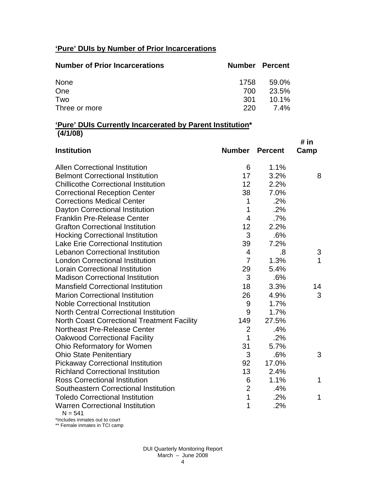# **'Pure' DUIs by Number of Prior Incarcerations**

| <b>Number of Prior Incarcerations</b> | <b>Number Percent</b> |             |
|---------------------------------------|-----------------------|-------------|
| None                                  | 1758                  | 59.0%       |
| One                                   | 700                   | 23.5%       |
| Two                                   | .301                  | $10.1\%$    |
| Three or more                         | 220                   | <b>7.4%</b> |

#### **'Pure' DUIs Currently Incarcerated by Parent Institution\* (4/1/08)**

| <b>Institution</b>                                  | <b>Number</b>  | <b>Percent</b> | # in<br>Camp |
|-----------------------------------------------------|----------------|----------------|--------------|
| <b>Allen Correctional Institution</b>               | 6              | 1.1%           |              |
| <b>Belmont Correctional Institution</b>             | 17             | 3.2%           | 8            |
| <b>Chillicothe Correctional Institution</b>         | 12             | 2.2%           |              |
| <b>Correctional Reception Center</b>                | 38             | 7.0%           |              |
| <b>Corrections Medical Center</b>                   | 1              | .2%            |              |
| Dayton Correctional Institution                     | 1              | .2%            |              |
| <b>Franklin Pre-Release Center</b>                  | $\overline{4}$ | .7%            |              |
| <b>Grafton Correctional Institution</b>             | 12             | 2.2%           |              |
| <b>Hocking Correctional Institution</b>             | 3              | .6%            |              |
| <b>Lake Erie Correctional Institution</b>           | 39             | 7.2%           |              |
| <b>Lebanon Correctional Institution</b>             | 4              | .8             | 3            |
| <b>London Correctional Institution</b>              | $\overline{7}$ | 1.3%           | $\mathbf{1}$ |
| <b>Lorain Correctional Institution</b>              | 29             | 5.4%           |              |
| <b>Madison Correctional Institution</b>             | 3              | .6%            |              |
| <b>Mansfield Correctional Institution</b>           | 18             | 3.3%           | 14           |
| <b>Marion Correctional Institution</b>              | 26             | 4.9%           | 3            |
| <b>Noble Correctional Institution</b>               | 9              | 1.7%           |              |
| <b>North Central Correctional Institution</b>       | 9              | 1.7%           |              |
| <b>North Coast Correctional Treatment Facility</b>  | 149            | 27.5%          |              |
| <b>Northeast Pre-Release Center</b>                 | $\overline{2}$ | .4%            |              |
| <b>Oakwood Correctional Facility</b>                | 1              | .2%            |              |
| Ohio Reformatory for Women                          | 31             | 5.7%           |              |
| <b>Ohio State Penitentiary</b>                      | 3              | .6%            | 3            |
| <b>Pickaway Correctional Institution</b>            | 92             | 17.0%          |              |
| <b>Richland Correctional Institution</b>            | 13             | 2.4%           |              |
| <b>Ross Correctional Institution</b>                | 6              | 1.1%           | 1            |
| Southeastern Correctional Institution               | $\overline{2}$ | .4%            |              |
| <b>Toledo Correctional Institution</b>              | $\mathbf{1}$   | .2%            | 1            |
| <b>Warren Correctional Institution</b><br>$N = 541$ | 1              | .2%            |              |

\*Includes inmates out to court \*\* Female inmates in TCI camp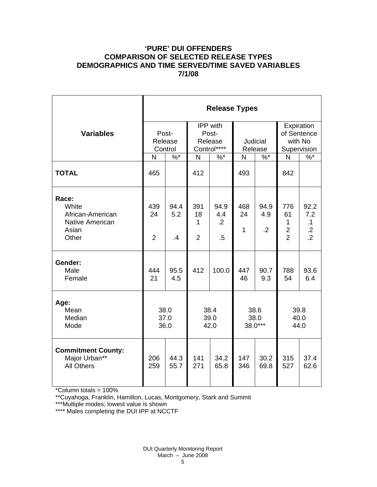## **'PURE' DUI OFFENDERS COMPARISON OF SELECTED RELEASE TYPES DEMOGRAPHICS AND TIME SERVED/TIME SAVED VARIABLES 7/1/08**

|                                                                                | <b>Release Types</b>        |                        |                                             |                                         |                            |                           |                                                     |                                                       |  |
|--------------------------------------------------------------------------------|-----------------------------|------------------------|---------------------------------------------|-----------------------------------------|----------------------------|---------------------------|-----------------------------------------------------|-------------------------------------------------------|--|
| <b>Variables</b>                                                               | Post-<br>Release<br>Control |                        | IPP with<br>Post-<br>Release<br>Control**** |                                         | <b>Judicial</b><br>Release |                           | Expiration<br>of Sentence<br>with No<br>Supervision |                                                       |  |
|                                                                                | $\%^{*}$<br>N               |                        | N<br>$%^*$                                  |                                         | $\%$ *<br>N                |                           | $\%$<br>N                                           |                                                       |  |
| <b>TOTAL</b>                                                                   | 465                         |                        | 412                                         |                                         | 493                        |                           | 842                                                 |                                                       |  |
| Race:<br>White<br>African-American<br><b>Native American</b><br>Asian<br>Other | 439<br>24<br>$\overline{2}$ | 94.4<br>5.2<br>$\cdot$ | 391<br>18<br>1<br>$\overline{2}$            | 94.9<br>4.4<br>$\overline{2}$<br>$.5\,$ | 468<br>24<br>$\mathbf{1}$  | 94.9<br>4.9<br>$\cdot$ .2 | 776<br>61<br>1<br>$\frac{2}{2}$                     | 92.2<br>7.2<br>$\cdot$ 1<br>$.2\,$<br>$\overline{.2}$ |  |
| Gender:<br>Male<br>Female                                                      | 444<br>21                   | 95.5<br>4.5            | 412                                         | 100.0                                   | 447<br>46                  | 90.7<br>9.3               | 788<br>54                                           | 93.6<br>6.4                                           |  |
| Age:<br>Mean<br>Median<br>Mode                                                 | 38.0<br>37.0<br>36.0        |                        | 38.4<br>39.0<br>42.0                        |                                         | 38.6<br>38.0<br>38.0***    |                           | 39.8<br>40.0<br>44.0                                |                                                       |  |
| <b>Commitment County:</b><br>Major Urban**<br><b>All Others</b>                | 206<br>259                  | 44.3<br>55.7           | 141<br>271                                  | 34.2<br>65.8                            | 147<br>346                 | 30.2<br>69.8              | 315<br>527                                          | 37.4<br>62.6                                          |  |

\*Column totals = 100%

\*\*Cuyahoga, Franklin, Hamilton, Lucas, Montgomery, Stark and Summit

\*\*\*Multiple modes; lowest value is shown

\*\*\*\* Males completing the DUI IPP at NCCTF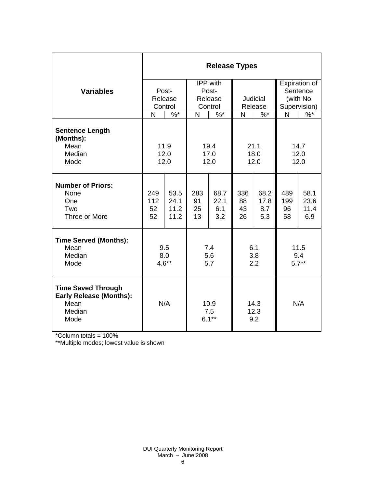|                                                                                               | <b>Release Types</b>        |                              |                                         |                            |                       |                            |                                                       |                             |  |  |
|-----------------------------------------------------------------------------------------------|-----------------------------|------------------------------|-----------------------------------------|----------------------------|-----------------------|----------------------------|-------------------------------------------------------|-----------------------------|--|--|
| <b>Variables</b>                                                                              | Post-<br>Release<br>Control |                              | IPP with<br>Post-<br>Release<br>Control |                            | Judicial<br>Release   |                            | Expiration of<br>Sentence<br>(with No<br>Supervision) |                             |  |  |
|                                                                                               | N                           | $\%$ *                       | $\sqrt[6]{6}$<br>N                      |                            | N<br>$\%$ *           |                            | $\frac{9}{6}$<br>N                                    |                             |  |  |
| <b>Sentence Length</b><br>(Months):<br>Mean<br>Median<br>Mode                                 |                             | 11.9<br>12.0<br>12.0         | 19.4<br>17.0<br>12.0                    |                            | 21.1<br>18.0<br>12.0  |                            | 14.7<br>12.0<br>12.0                                  |                             |  |  |
| <b>Number of Priors:</b><br>None<br>One<br>Two<br>Three or More                               | 249<br>112<br>52<br>52      | 53.5<br>24.1<br>11.2<br>11.2 | 283<br>91<br>25<br>13                   | 68.7<br>22.1<br>6.1<br>3.2 | 336<br>88<br>43<br>26 | 68.2<br>17.8<br>8.7<br>5.3 | 489<br>199<br>96<br>58                                | 58.1<br>23.6<br>11.4<br>6.9 |  |  |
| <b>Time Served (Months):</b><br>Mean<br>Median<br>Mode                                        | 9.5<br>8.0<br>$4.6**$       |                              | 7.4<br>5.6<br>5.7                       |                            | 6.1<br>3.8<br>2.2     |                            | 11.5<br>9.4<br>$5.7**$                                |                             |  |  |
| <b>Time Saved Through</b><br><b>Early Release (Months):</b><br>Mean<br>Median<br>Mode<br>1000 | N/A                         |                              | 10.9<br>7.5<br>$6.1***$                 |                            | 14.3<br>12.3<br>9.2   |                            | N/A                                                   |                             |  |  |

\*Column totals = 100%

\*\*Multiple modes; lowest value is shown